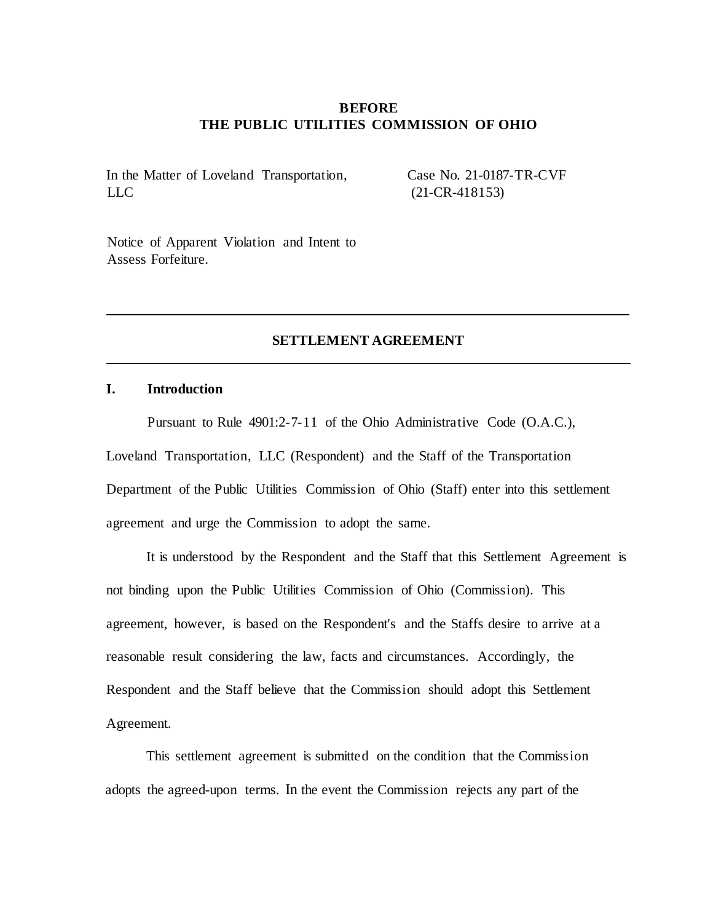### **BEFORE THE PUBLIC UTILITIES COMMISSION OF OHIO**

In the Matter of Loveland Transportation, LLC

Case No. 21-0187-TR-CVF (21-CR-418153)

Notice of Apparent Violation and Intent to Assess Forfeiture.

### **SETTLEMENT AGREEMENT**

#### **I. Introduction**

Pursuant to Rule 4901:2-7-11 of the Ohio Administrative Code (O.A.C.), Loveland Transportation, LLC (Respondent) and the Staff of the Transportation Department of the Public Utilities Commission of Ohio (Staff) enter into this settlement agreement and urge the Commission to adopt the same.

It is understood by the Respondent and the Staff that this Settlement Agreement is not binding upon the Public Utilities Commission of Ohio (Commission). This agreement, however, is based on the Respondent's and the Staffs desire to arrive at a reasonable result considering the law, facts and circumstances. Accordingly, the Respondent and the Staff believe that the Commission should adopt this Settlement Agreement.

This settlement agreement is submitted on the condition that the Commission adopts the agreed-upon terms. In the event the Commission rejects any part of the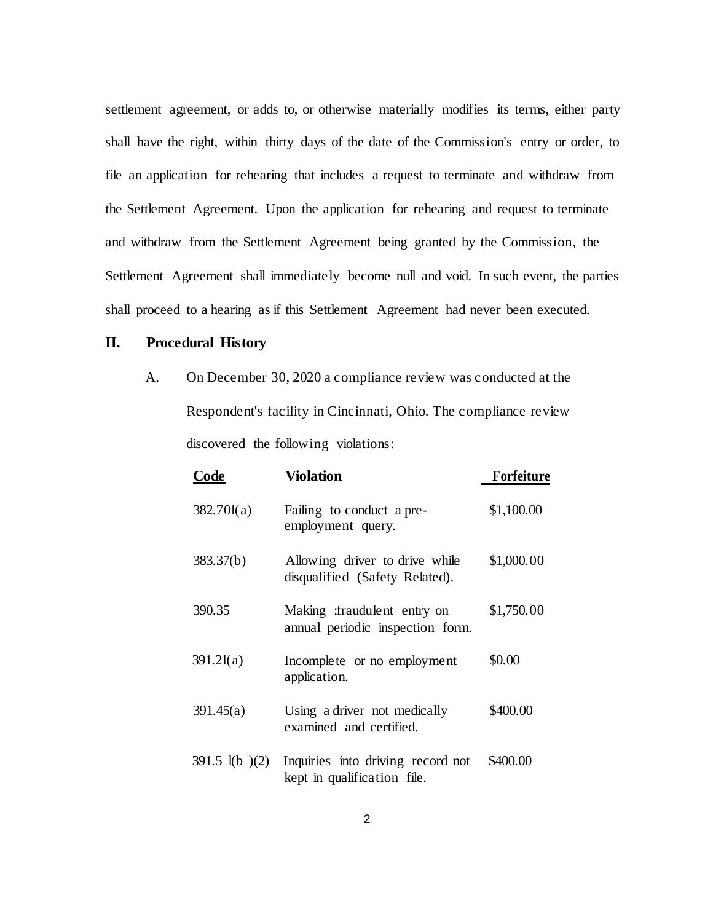settlement agreement, or adds to, or otherwise materially modifies its terms, either party shall have the right, within thirty days of the date of the Commission's entry or order, to file an application for rehearing that includes a request to terminate and withdraw from the Settlement Agreement. Upon the application for rehearing and request to terminate and withdraw from the Settlement Agreement being granted by the Commission, the Settlement Agreement shall immediately become null and void. In such event, the parties shall proceed to a hearing as if this Settlement Agreement had never been executed.

### **II. Procedural History**

A. On December 30, 2020 a compliance review was conducted at the Respondent's facility in Cincinnati, Ohio. The compliance review discovered the following violations:

| Code                     | <b>Violation</b>                                                 | Forfeiture |
|--------------------------|------------------------------------------------------------------|------------|
| 382.701(a)               | Failing to conduct a pre-<br>employment query.                   | \$1,100.00 |
| 383.37(b)                | Allowing driver to drive while<br>disqualified (Safety Related). | \$1,000.00 |
| 390.35                   | Making :fraudulent entry on<br>annual periodic inspection form.  | \$1,750.00 |
| 391.21(a)                | Incomplete or no employment<br>application.                      | \$0.00     |
| 391.45(a)                | Using a driver not medically<br>examined and certified.          | \$400.00   |
| $391.5 \text{ l(b)} (2)$ | Inquiries into driving record not<br>kept in qualification file. | \$400.00   |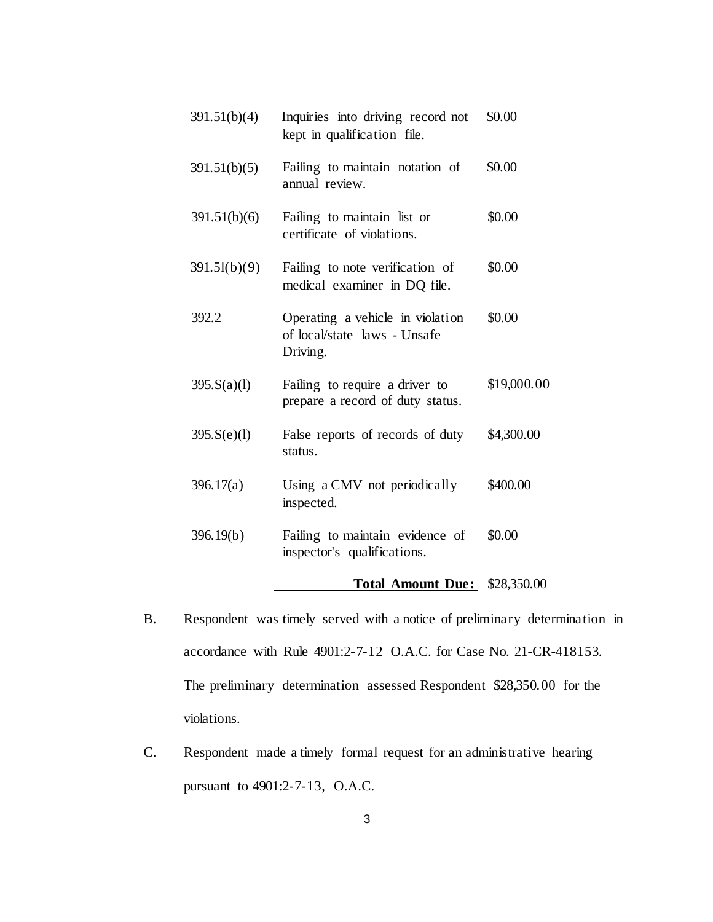| 391.51(b)(4) | Inquiries into driving record not<br>kept in qualification file.             | \$0.00      |
|--------------|------------------------------------------------------------------------------|-------------|
| 391.51(b)(5) | Failing to maintain notation of<br>annual review.                            | \$0.00      |
| 391.51(b)(6) | Failing to maintain list or<br>certificate of violations.                    | \$0.00      |
| 391.51(b)(9) | Failing to note verification of<br>medical examiner in DQ file.              | \$0.00      |
| 392.2        | Operating a vehicle in violation<br>of local/state laws - Unsafe<br>Driving. | \$0.00      |
| 395.S(a)(1)  | Failing to require a driver to<br>prepare a record of duty status.           | \$19,000.00 |
| 395.S(e)(1)  | False reports of records of duty<br>status.                                  | \$4,300.00  |
| 396.17(a)    | Using a CMV not periodically<br>inspected.                                   | \$400.00    |
| 396.19(b)    | Failing to maintain evidence of<br>inspector's qualifications.               | \$0.00      |
|              |                                                                              |             |

## **Total Amount Due:** \$28,350.00

- B. Respondent was timely served with a notice of preliminary determination in accordance with Rule 4901:2-7-12 O.A.C. for Case No. 21-CR-418153. The preliminary determination assessed Respondent \$28,350.00 for the violations.
- C. Respondent made a timely formal request for an administrative hearing pursuant to 4901:2-7-13, O.A.C.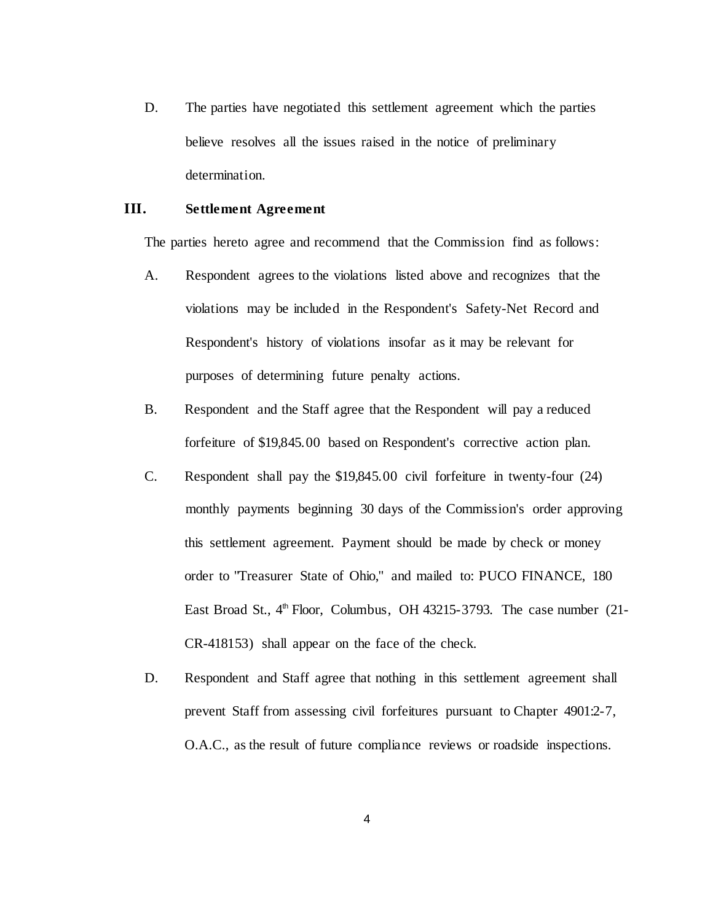D. The parties have negotiated this settlement agreement which the parties believe resolves all the issues raised in the notice of preliminary determination.

### **III. Settlement Agreement**

The parties hereto agree and recommend that the Commission find as follows:

- A. Respondent agrees to the violations listed above and recognizes that the violations may be included in the Respondent's Safety-Net Record and Respondent's history of violations insofar as it may be relevant for purposes of determining future penalty actions.
- B. Respondent and the Staff agree that the Respondent will pay a reduced forfeiture of \$19,845.00 based on Respondent's corrective action plan.
- C. Respondent shall pay the \$19,845.00 civil forfeiture in twenty-four (24) monthly payments beginning 30 days of the Commission's order approving this settlement agreement. Payment should be made by check or money order to "Treasurer State of Ohio," and mailed to: PUCO FINANCE, 180 East Broad St.,  $4<sup>th</sup>$  Floor, Columbus, OH 43215-3793. The case number (21-CR-418153) shall appear on the face of the check.
- D. Respondent and Staff agree that nothing in this settlement agreement shall prevent Staff from assessing civil forfeitures pursuant to Chapter 4901:2-7, O.A.C., as the result of future compliance reviews or roadside inspections.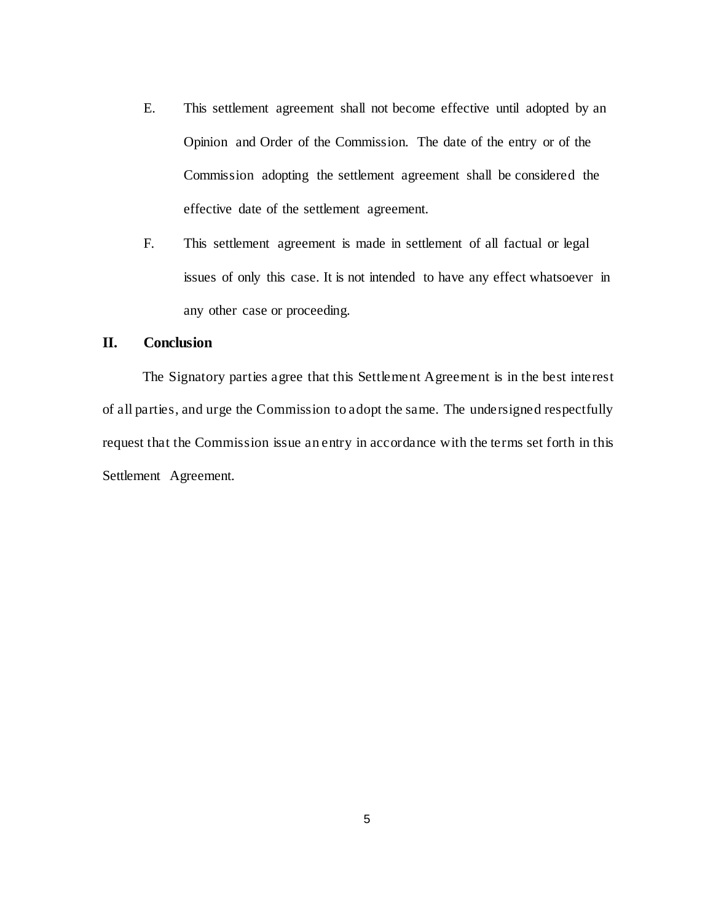- E. This settlement agreement shall not become effective until adopted by an Opinion and Order of the Commission. The date of the entry or of the Commission adopting the settlement agreement shall be considered the effective date of the settlement agreement.
- F. This settlement agreement is made in settlement of all factual or legal issues of only this case. It is not intended to have any effect whatsoever in any other case or proceeding.

# **II. Conclusion**

The Signatory parties agree that this Settlement Agreement is in the best interest of all parties, and urge the Commission to adopt the same. The undersigned respectfully request that the Commission issue an entry in accordance with the terms set forth in this Settlement Agreement.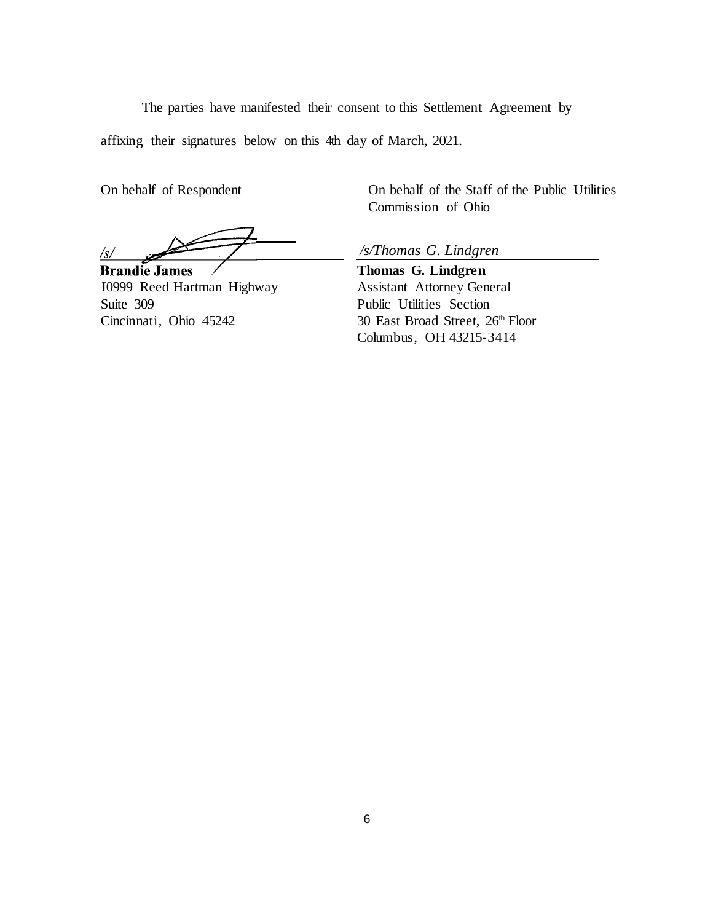The parties have manifested their consent to this Settlement Agreement by

affixing their signatures below on this 4th day of March, 2021.

 $\sqrt{s/}$ 

**Brandie James** I0999 Reed Hartman Highway Suite 309 Cincinnati, Ohio 45242

On behalf of Respondent On behalf of the Staff of the Public Utilities Commission of Ohio

*/s/Thomas G. Lindgren*

**Thomas G. Lindgren**  Assistant Attorney General Public Utilities Section 30 East Broad Street, 26th Floor Columbus, OH 43215-3414